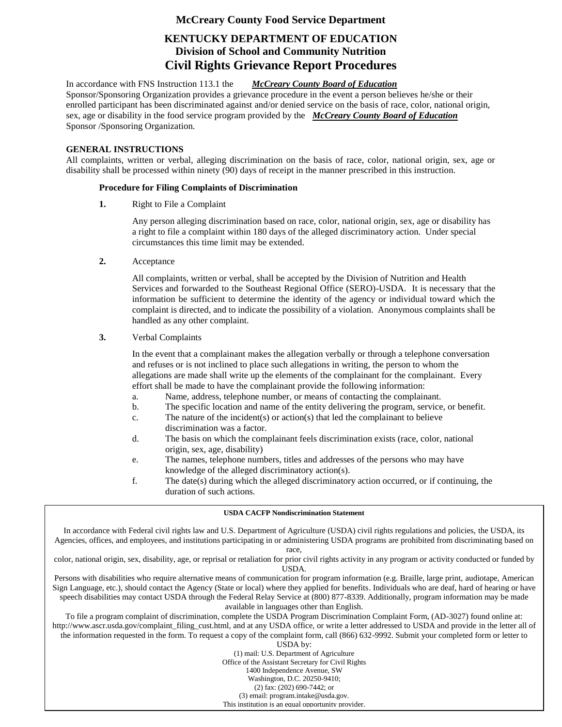### **McCreary County Food Service Department**

## **KENTUCKY DEPARTMENT OF EDUCATION Division of School and Community Nutrition Civil Rights Grievance Report Procedures**

In accordance with FNS Instruction 113.1 the *McCreary County Board of Education* Sponsor/Sponsoring Organization provides a grievance procedure in the event a person believes he/she or their enrolled participant has been discriminated against and/or denied service on the basis of race, color, national origin, sex, age or disability in the food service program provided by the *McCreary County Board of Education*  Sponsor /Sponsoring Organization.

#### **GENERAL INSTRUCTIONS**

All complaints, written or verbal, alleging discrimination on the basis of race, color, national origin, sex, age or disability shall be processed within ninety (90) days of receipt in the manner prescribed in this instruction.

#### **Procedure for Filing Complaints of Discrimination**

**1.** Right to File a Complaint

Any person alleging discrimination based on race, color, national origin, sex, age or disability has a right to file a complaint within 180 days of the alleged discriminatory action. Under special circumstances this time limit may be extended.

**2.** Acceptance

All complaints, written or verbal, shall be accepted by the Division of Nutrition and Health Services and forwarded to the Southeast Regional Office (SERO)-USDA. It is necessary that the information be sufficient to determine the identity of the agency or individual toward which the complaint is directed, and to indicate the possibility of a violation. Anonymous complaints shall be handled as any other complaint.

**3.** Verbal Complaints

In the event that a complainant makes the allegation verbally or through a telephone conversation and refuses or is not inclined to place such allegations in writing, the person to whom the allegations are made shall write up the elements of the complainant for the complainant. Every effort shall be made to have the complainant provide the following information:

- a. Name, address, telephone number, or means of contacting the complainant.
- b. The specific location and name of the entity delivering the program, service, or benefit.
- c. The nature of the incident(s) or action(s) that led the complainant to believe discrimination was a factor.
- d. The basis on which the complainant feels discrimination exists (race, color, national origin, sex, age, disability)
- e. The names, telephone numbers, titles and addresses of the persons who may have knowledge of the alleged discriminatory action(s).
- f. The date(s) during which the alleged discriminatory action occurred, or if continuing, the duration of such actions.

#### **USDA CACFP Nondiscrimination Statement**

In accordance with Federal civil rights law and U.S. Department of Agriculture (USDA) civil rights regulations and policies, the USDA, its Agencies, offices, and employees, and institutions participating in or administering USDA programs are prohibited from discriminating based on race,

color, national origin, sex, disability, age, or reprisal or retaliation for prior civil rights activity in any program or activity conducted or funded by USDA.

Persons with disabilities who require alternative means of communication for program information (e.g. Braille, large print, audiotape, American Sign Language, etc.), should contact the Agency (State or local) where they applied for benefits. Individuals who are deaf, hard of hearing or have speech disabilities may contact USDA through the Federal Relay Service at (800) 877-8339. Additionally, program information may be made available in languages other than English.

To file a program complaint of discrimination, complete the USDA Program Discrimination Complaint Form, (AD-3027) found online at: http://www.ascr.usda.gov/complaint\_filing\_cust.html, and at any USDA office, or write a letter addressed to USDA and provide in the letter all of the information requested in the form. To request a copy of the complaint form, call (866) 632-9992. Submit your completed form or letter to

USDA by:

(1) mail: U.S. Department of Agriculture

Office of the Assistant Secretary for Civil Rights

1400 Independence Avenue, SW Washington, D.C. 20250-9410;

(2) fax: (202) 690-7442; or

(3) email: program.intake@usda.gov.

This institution is an equal opportunity provider.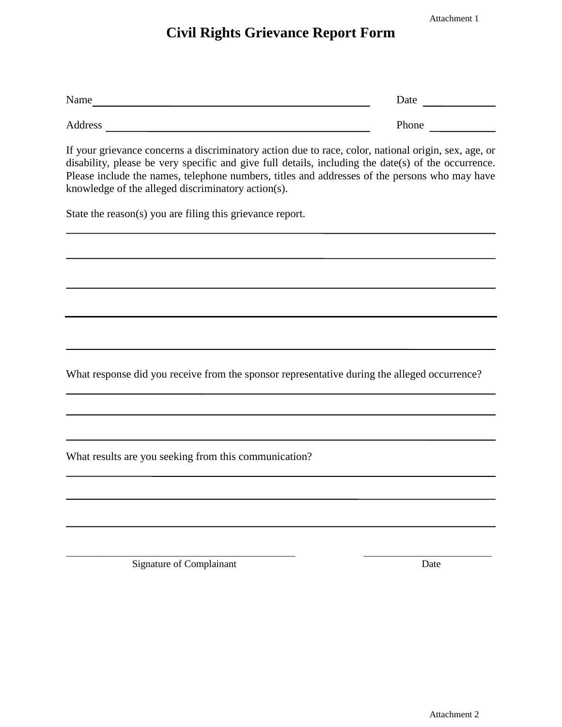Attachment 1

## **Civil Rights Grievance Report Form**

| Name    | Date              |
|---------|-------------------|
|         |                   |
| Address | <sup>o</sup> hone |

If your grievance concerns a discriminatory action due to race, color, national origin, sex, age, or disability, please be very specific and give full details, including the date(s) of the occurrence. Please include the names, telephone numbers, titles and addresses of the persons who may have knowledge of the alleged discriminatory action(s).

State the reason(s) you are filing this grievance report.

What response did you receive from the sponsor representative during the alleged occurrence?

\_\_\_\_\_\_\_\_\_\_\_\_\_\_\_\_\_\_\_\_\_\_\_\_\_\_\_\_\_\_\_\_\_\_\_\_\_\_\_\_\_\_\_\_\_\_\_\_\_\_ \_\_\_\_\_\_\_\_\_\_\_\_\_\_\_\_\_\_\_\_\_\_\_\_\_\_\_\_

What results are you seeking from this communication?

Signature of Complainant Date